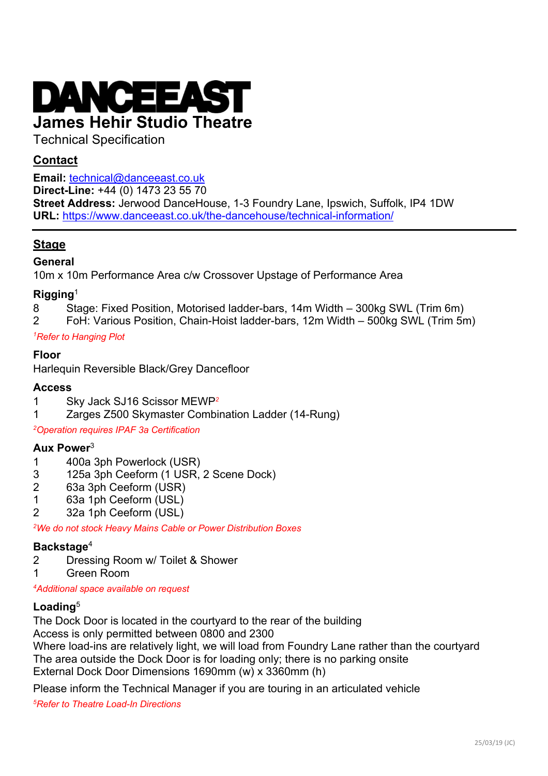

## Technical Specification

## **Contact**

**Email:** technical@danceeast.co.uk

**Direct-Line:** +44 (0) 1473 23 55 70

**Street Address:** Jerwood DanceHouse, 1-3 Foundry Lane, Ipswich, Suffolk, IP4 1DW **URL:** https://www.danceeast.co.uk/the-dancehouse/technical-information/

## **Stage**

#### **General**

10m x 10m Performance Area c/w Crossover Upstage of Performance Area

## **Rigging**<sup>1</sup>

- 8 Stage: Fixed Position, Motorised ladder-bars, 14m Width 300kg SWL (Trim 6m)
- 2 FoH: Various Position, Chain-Hoist ladder-bars, 12m Width 500kg SWL (Trim 5m)

#### *1Refer to Hanging Plot*

## **Floor**

Harlequin Reversible Black/Grey Dancefloor

#### **Access**

- 1 Sky Jack SJ16 Scissor MEWP*<sup>2</sup>*
- 1 Zarges Z500 Skymaster Combination Ladder (14-Rung)

*2Operation requires IPAF 3a Certification*

#### **Aux Power**<sup>3</sup>

- 1 400a 3ph Powerlock (USR)
- 3 125a 3ph Ceeform (1 USR, 2 Scene Dock)
- 2 63a 3ph Ceeform (USR)
- 1 63a 1ph Ceeform (USL)
- 2 32a 1ph Ceeform (USL)

*2We do not stock Heavy Mains Cable or Power Distribution Boxes*

## **Backstage**<sup>4</sup>

- 2 Dressing Room w/ Toilet & Shower
- 1 Green Room

*4Additional space available on request*

## **Loading**<sup>5</sup>

The Dock Door is located in the courtyard to the rear of the building

Access is only permitted between 0800 and 2300

Where load-ins are relatively light, we will load from Foundry Lane rather than the courtyard The area outside the Dock Door is for loading only; there is no parking onsite External Dock Door Dimensions 1690mm (w) x 3360mm (h)

Please inform the Technical Manager if you are touring in an articulated vehicle

*5Refer to Theatre Load-In Directions*